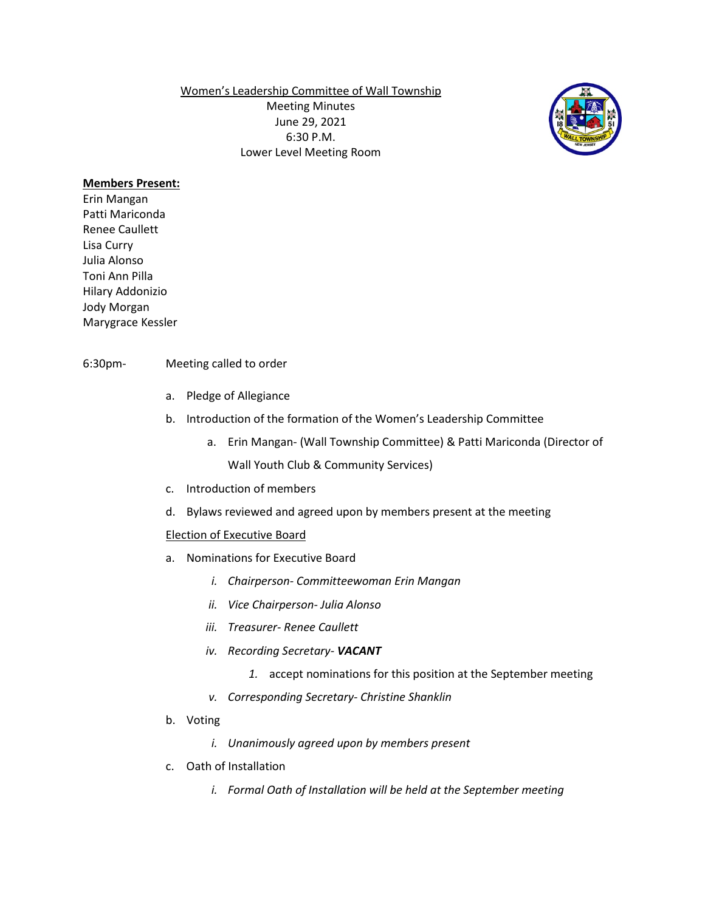Women's Leadership Committee of Wall Township Meeting Minutes June 29, 2021 6:30 P.M. Lower Level Meeting Room



# **Members Present:**

Erin Mangan Patti Mariconda Renee Caullett Lisa Curry Julia Alonso Toni Ann Pilla Hilary Addonizio Jody Morgan Marygrace Kessler

# 6:30pm- Meeting called to order

- a. Pledge of Allegiance
- b. Introduction of the formation of the Women's Leadership Committee
	- a. Erin Mangan- (Wall Township Committee) & Patti Mariconda (Director of Wall Youth Club & Community Services)
- c. Introduction of members
- d. Bylaws reviewed and agreed upon by members present at the meeting

# Election of Executive Board

- a. Nominations for Executive Board
	- *i. Chairperson- Committeewoman Erin Mangan*
	- *ii. Vice Chairperson- Julia Alonso*
	- *iii. Treasurer- Renee Caullett*
	- *iv. Recording Secretary- VACANT*
		- *1.* accept nominations for this position at the September meeting
	- *v. Corresponding Secretary- Christine Shanklin*
- b. Voting
	- *i. Unanimously agreed upon by members present*
- c. Oath of Installation
	- *i. Formal Oath of Installation will be held at the September meeting*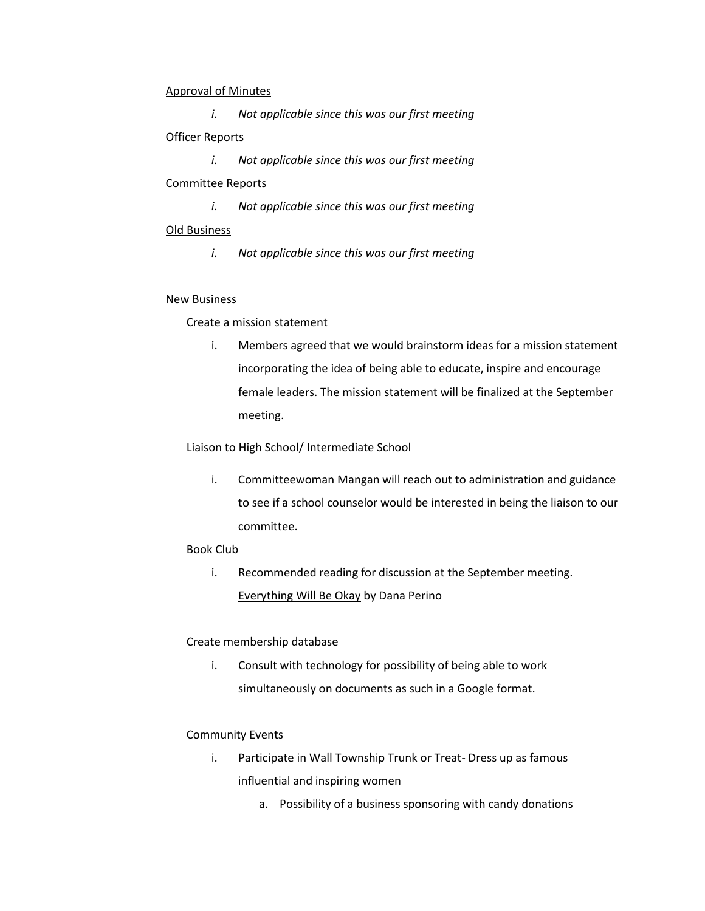### Approval of Minutes

*i. Not applicable since this was our first meeting*

# Officer Reports

*i. Not applicable since this was our first meeting* Committee Reports

*i. Not applicable since this was our first meeting* Old Business

*i. Not applicable since this was our first meeting*

### New Business

Create a mission statement

i. Members agreed that we would brainstorm ideas for a mission statement incorporating the idea of being able to educate, inspire and encourage female leaders. The mission statement will be finalized at the September meeting.

Liaison to High School/ Intermediate School

i. Committeewoman Mangan will reach out to administration and guidance to see if a school counselor would be interested in being the liaison to our committee.

#### Book Club

i. Recommended reading for discussion at the September meeting. Everything Will Be Okay by Dana Perino

# Create membership database

i. Consult with technology for possibility of being able to work simultaneously on documents as such in a Google format.

# Community Events

- i. Participate in Wall Township Trunk or Treat- Dress up as famous influential and inspiring women
	- a. Possibility of a business sponsoring with candy donations